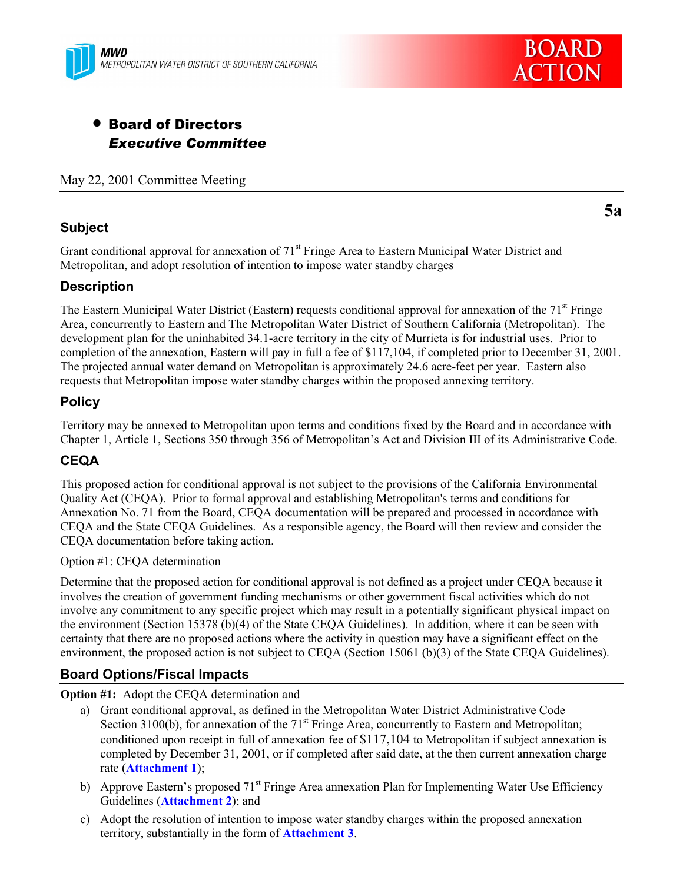



# • Board of Directors *Executive Committee*

May 22, 2001 Committee Meeting

## **Subject**

**5a**

Grant conditional approval for annexation of 71<sup>st</sup> Fringe Area to Eastern Municipal Water District and Metropolitan, and adopt resolution of intention to impose water standby charges

## **Description**

The Eastern Municipal Water District (Eastern) requests conditional approval for annexation of the 71<sup>st</sup> Fringe Area, concurrently to Eastern and The Metropolitan Water District of Southern California (Metropolitan). The development plan for the uninhabited 34.1-acre territory in the city of Murrieta is for industrial uses. Prior to completion of the annexation, Eastern will pay in full a fee of \$117,104, if completed prior to December 31, 2001. The projected annual water demand on Metropolitan is approximately 24.6 acre-feet per year. Eastern also requests that Metropolitan impose water standby charges within the proposed annexing territory.

#### **Policy**

Territory may be annexed to Metropolitan upon terms and conditions fixed by the Board and in accordance with Chapter 1, Article 1, Sections 350 through 356 of Metropolitanís Act and Division III of its Administrative Code.

## **CEQA**

This proposed action for conditional approval is not subject to the provisions of the California Environmental Quality Act (CEQA). Prior to formal approval and establishing Metropolitan's terms and conditions for Annexation No. 71 from the Board, CEQA documentation will be prepared and processed in accordance with CEQA and the State CEQA Guidelines. As a responsible agency, the Board will then review and consider the CEQA documentation before taking action.

#### Option #1: CEQA determination

Determine that the proposed action for conditional approval is not defined as a project under CEQA because it involves the creation of government funding mechanisms or other government fiscal activities which do not involve any commitment to any specific project which may result in a potentially significant physical impact on the environment (Section 15378 (b)(4) of the State CEQA Guidelines). In addition, where it can be seen with certainty that there are no proposed actions where the activity in question may have a significant effect on the environment, the proposed action is not subject to CEQA (Section 15061 (b)(3) of the State CEQA Guidelines).

## **Board Options/Fiscal Impacts**

**Option #1:** Adopt the CEQA determination and

- a) Grant conditional approval, as defined in the Metropolitan Water District Administrative Code Section 3100(b), for annexation of the  $71<sup>st</sup>$  Fringe Area, concurrently to Eastern and Metropolitan; conditioned upon receipt in full of annexation fee of \$117,104 to Metropolitan if subject annexation is completed by December 31, 2001, or if completed after said date, at the then current annexation charge rate (**Attachment 1**);
- b) Approve Eastern's proposed  $71<sup>st</sup>$  Fringe Area annexation Plan for Implementing Water Use Efficiency Guidelines (**Attachment 2**); and
- c) Adopt the resolution of intention to impose water standby charges within the proposed annexation territory, substantially in the form of **Attachment 3**.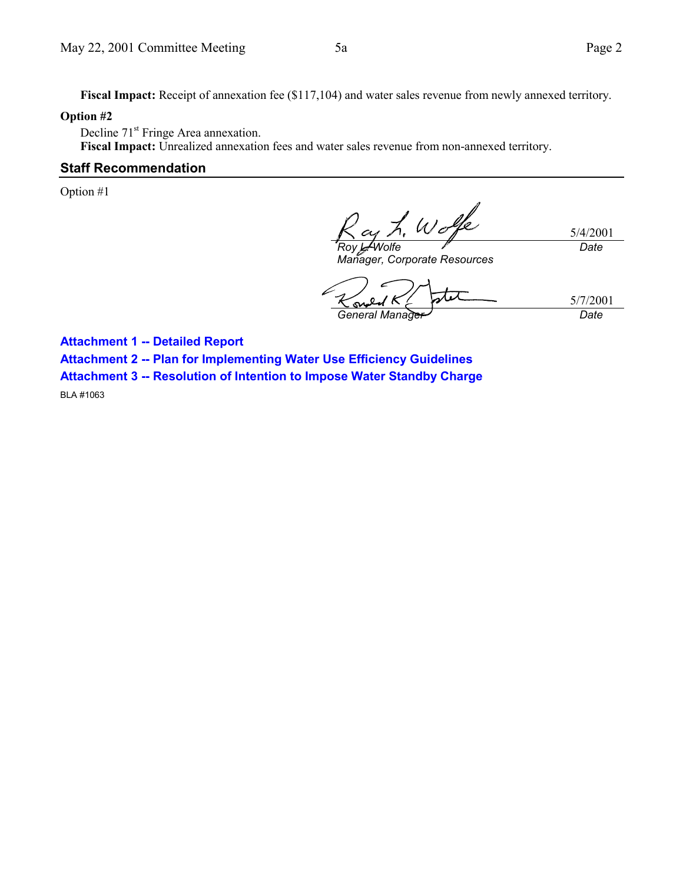5/4/2001

*Date*

Fiscal Impact: Receipt of annexation fee (\$117,104) and water sales revenue from newly annexed territory.

#### **Option #2**

Decline 71<sup>st</sup> Fringe Area annexation.

**Fiscal Impact:** Unrealized annexation fees and water sales revenue from non-annexed territory.

#### **Staff Recommendation**

Option #1

Wo *Roy L. Wolfe*

*Manager, Corporate Resources*

5/7/2001 Ю. *General Manager Date*

**Attachment 1 -- Detailed Report Attachment 2 -- Plan for Implementing Water Use Efficiency Guidelines Attachment 3 -- Resolution of Intention to Impose Water Standby Charge**

BLA #1063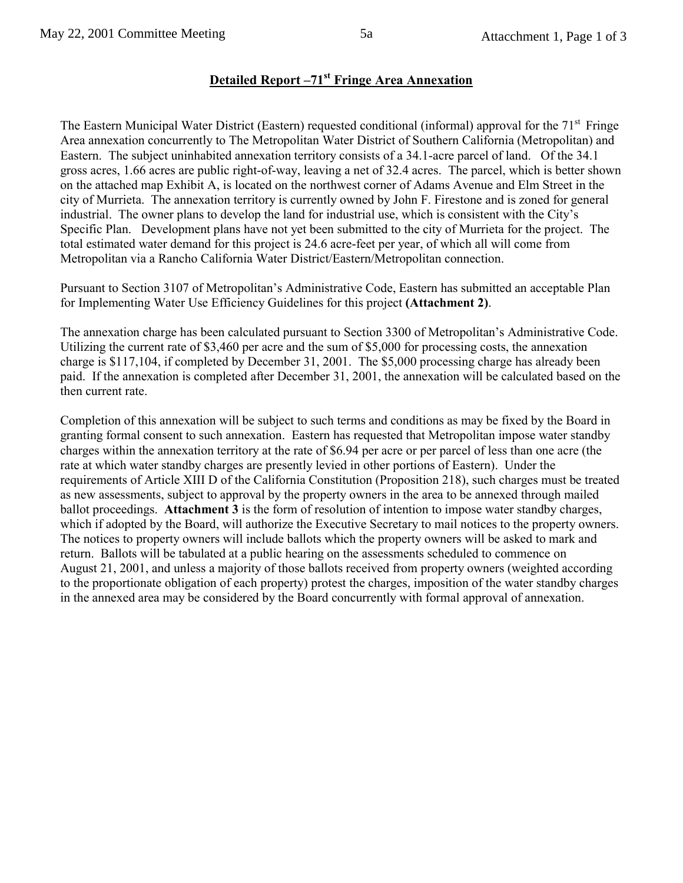# **Detailed Report -71st Fringe Area Annexation**

The Eastern Municipal Water District (Eastern) requested conditional (informal) approval for the 71<sup>st</sup> Fringe Area annexation concurrently to The Metropolitan Water District of Southern California (Metropolitan) and Eastern. The subject uninhabited annexation territory consists of a 34.1-acre parcel of land. Of the 34.1 gross acres, 1.66 acres are public right-of-way, leaving a net of 32.4 acres. The parcel, which is better shown on the attached map Exhibit A, is located on the northwest corner of Adams Avenue and Elm Street in the city of Murrieta. The annexation territory is currently owned by John F. Firestone and is zoned for general industrial. The owner plans to develop the land for industrial use, which is consistent with the City's Specific Plan. Development plans have not yet been submitted to the city of Murrieta for the project. The total estimated water demand for this project is 24.6 acre-feet per year, of which all will come from Metropolitan via a Rancho California Water District/Eastern/Metropolitan connection.

Pursuant to Section 3107 of Metropolitan's Administrative Code, Eastern has submitted an acceptable Plan for Implementing Water Use Efficiency Guidelines for this project **(Attachment 2)**.

The annexation charge has been calculated pursuant to Section 3300 of Metropolitan's Administrative Code. Utilizing the current rate of \$3,460 per acre and the sum of \$5,000 for processing costs, the annexation charge is \$117,104, if completed by December 31, 2001. The \$5,000 processing charge has already been paid. If the annexation is completed after December 31, 2001, the annexation will be calculated based on the then current rate.

Completion of this annexation will be subject to such terms and conditions as may be fixed by the Board in granting formal consent to such annexation. Eastern has requested that Metropolitan impose water standby charges within the annexation territory at the rate of \$6.94 per acre or per parcel of less than one acre (the rate at which water standby charges are presently levied in other portions of Eastern). Under the requirements of Article XIII D of the California Constitution (Proposition 218), such charges must be treated as new assessments, subject to approval by the property owners in the area to be annexed through mailed ballot proceedings. **Attachment 3** is the form of resolution of intention to impose water standby charges, which if adopted by the Board, will authorize the Executive Secretary to mail notices to the property owners. The notices to property owners will include ballots which the property owners will be asked to mark and return. Ballots will be tabulated at a public hearing on the assessments scheduled to commence on August 21, 2001, and unless a majority of those ballots received from property owners (weighted according to the proportionate obligation of each property) protest the charges, imposition of the water standby charges in the annexed area may be considered by the Board concurrently with formal approval of annexation.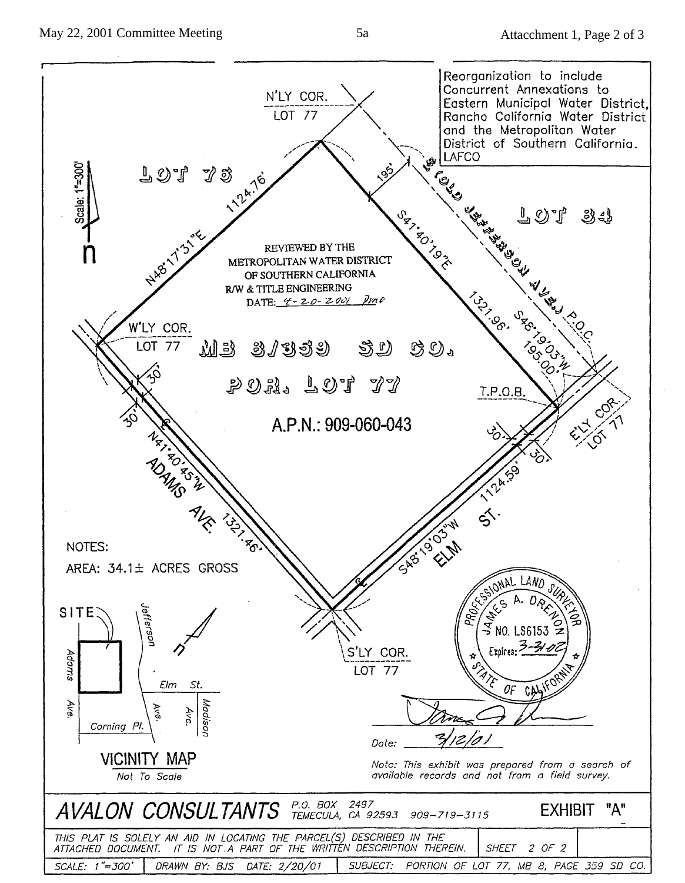

 $5a$